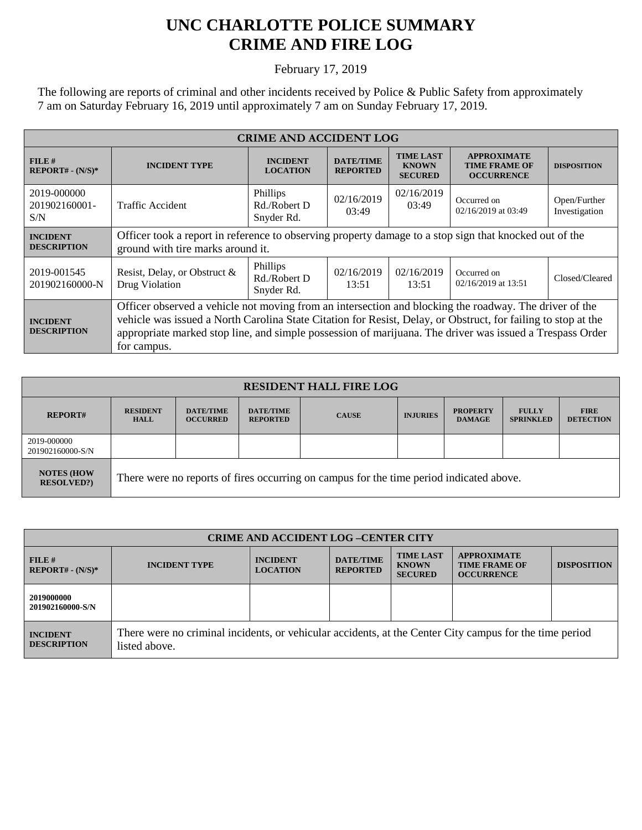## **UNC CHARLOTTE POLICE SUMMARY CRIME AND FIRE LOG**

February 17, 2019

The following are reports of criminal and other incidents received by Police & Public Safety from approximately 7 am on Saturday February 16, 2019 until approximately 7 am on Sunday February 17, 2019.

| <b>CRIME AND ACCIDENT LOG</b>         |                                                                                                                                                                                                                                                                                                                                                    |                                        |                                     |                                                    |                                                                 |                               |  |
|---------------------------------------|----------------------------------------------------------------------------------------------------------------------------------------------------------------------------------------------------------------------------------------------------------------------------------------------------------------------------------------------------|----------------------------------------|-------------------------------------|----------------------------------------------------|-----------------------------------------------------------------|-------------------------------|--|
| FILE#<br>$REPORT# - (N/S)*$           | <b>INCIDENT TYPE</b>                                                                                                                                                                                                                                                                                                                               | <b>INCIDENT</b><br><b>LOCATION</b>     | <b>DATE/TIME</b><br><b>REPORTED</b> | <b>TIME LAST</b><br><b>KNOWN</b><br><b>SECURED</b> | <b>APPROXIMATE</b><br><b>TIME FRAME OF</b><br><b>OCCURRENCE</b> | <b>DISPOSITION</b>            |  |
| 2019-000000<br>201902160001-<br>S/N   | Traffic Accident                                                                                                                                                                                                                                                                                                                                   | Phillips<br>Rd./Robert D<br>Snyder Rd. | 02/16/2019<br>03:49                 | 02/16/2019<br>03:49                                | Occurred on<br>02/16/2019 at 03:49                              | Open/Further<br>Investigation |  |
| <b>INCIDENT</b><br><b>DESCRIPTION</b> | Officer took a report in reference to observing property damage to a stop sign that knocked out of the<br>ground with tire marks around it.                                                                                                                                                                                                        |                                        |                                     |                                                    |                                                                 |                               |  |
| 2019-001545<br>201902160000-N         | Resist, Delay, or Obstruct &<br>Drug Violation                                                                                                                                                                                                                                                                                                     | Phillips<br>Rd./Robert D<br>Snyder Rd. | 02/16/2019<br>13:51                 | 02/16/2019<br>13:51                                | Occurred on<br>02/16/2019 at 13:51                              | Closed/Cleared                |  |
| <b>INCIDENT</b><br><b>DESCRIPTION</b> | Officer observed a vehicle not moving from an intersection and blocking the roadway. The driver of the<br>vehicle was issued a North Carolina State Citation for Resist, Delay, or Obstruct, for failing to stop at the<br>appropriate marked stop line, and simple possession of marijuana. The driver was issued a Trespass Order<br>for campus. |                                        |                                     |                                                    |                                                                 |                               |  |

| <b>RESIDENT HALL FIRE LOG</b>          |                                                                                         |                                     |                                     |              |                 |                                  |                                  |                                 |
|----------------------------------------|-----------------------------------------------------------------------------------------|-------------------------------------|-------------------------------------|--------------|-----------------|----------------------------------|----------------------------------|---------------------------------|
| <b>REPORT#</b>                         | <b>RESIDENT</b><br><b>HALL</b>                                                          | <b>DATE/TIME</b><br><b>OCCURRED</b> | <b>DATE/TIME</b><br><b>REPORTED</b> | <b>CAUSE</b> | <b>INJURIES</b> | <b>PROPERTY</b><br><b>DAMAGE</b> | <b>FULLY</b><br><b>SPRINKLED</b> | <b>FIRE</b><br><b>DETECTION</b> |
| 2019-000000<br>201902160000-S/N        |                                                                                         |                                     |                                     |              |                 |                                  |                                  |                                 |
| <b>NOTES (HOW</b><br><b>RESOLVED?)</b> | There were no reports of fires occurring on campus for the time period indicated above. |                                     |                                     |              |                 |                                  |                                  |                                 |

| <b>CRIME AND ACCIDENT LOG-CENTER CITY</b> |                                                                                                                          |                                    |                                     |                                                    |                                                                 |                    |
|-------------------------------------------|--------------------------------------------------------------------------------------------------------------------------|------------------------------------|-------------------------------------|----------------------------------------------------|-----------------------------------------------------------------|--------------------|
| FILE H<br>$REPORT# - (N/S)*$              | <b>INCIDENT TYPE</b>                                                                                                     | <b>INCIDENT</b><br><b>LOCATION</b> | <b>DATE/TIME</b><br><b>REPORTED</b> | <b>TIME LAST</b><br><b>KNOWN</b><br><b>SECURED</b> | <b>APPROXIMATE</b><br><b>TIME FRAME OF</b><br><b>OCCURRENCE</b> | <b>DISPOSITION</b> |
| 2019000000<br>201902160000-S/N            |                                                                                                                          |                                    |                                     |                                                    |                                                                 |                    |
| <b>INCIDENT</b><br><b>DESCRIPTION</b>     | There were no criminal incidents, or vehicular accidents, at the Center City campus for the time period<br>listed above. |                                    |                                     |                                                    |                                                                 |                    |